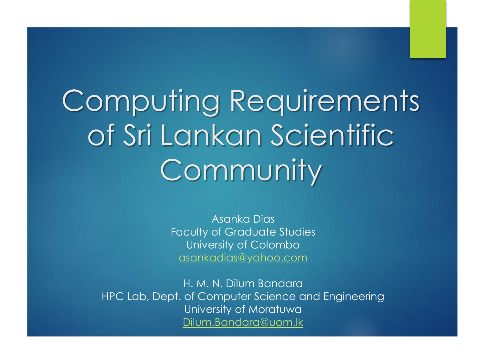# Computing Requirements of Sri Lankan Scientific **Community**

Asanka Dias Faculty of Graduate Studies University of Colombo [asankadias@yahoo.com](mailto:asankadias@yahoo.com)

H. M. N. Dilum Bandara HPC Lab, Dept. of Computer Science and Engineering University of Moratuwa [Dilum.Bandara@uom.lk](mailto:Dilum.Bandara@uom.lk)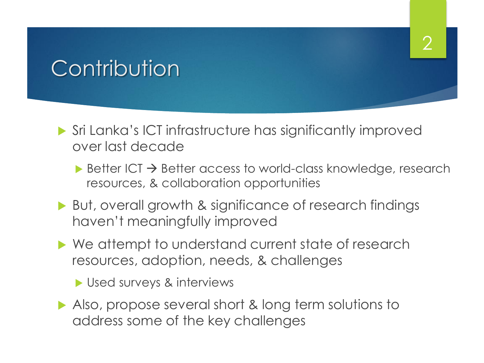# **Contribution**

- Sri Lanka's ICT infrastructure has significantly improved over last decade
	- $\triangleright$  Better ICT  $\rightarrow$  Better access to world-class knowledge, research resources, & collaboration opportunities

- ▶ But, overall growth & significance of research findings haven't meaningfully improved
- ▶ We attempt to understand current state of research resources, adoption, needs, & challenges
	- Used surveys & interviews
- Also, propose several short & long term solutions to address some of the key challenges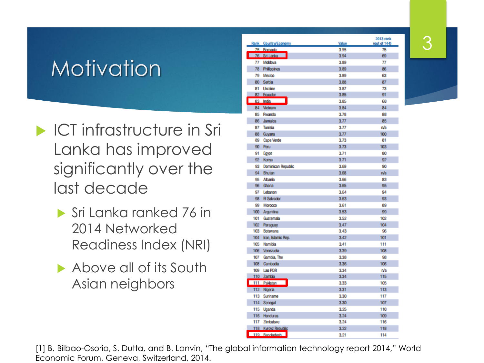# Motivation

- **ICT infrastructure in Sri** Lanka has improved significantly over the last decade
	- Sri Lanka ranked 76 in 2014 Networked Readiness Index (NRI)
	- Above all of its South Asian neighbors

|        | Rank Country/Economy      | Value | 2013 rank<br>(out of 144) |
|--------|---------------------------|-------|---------------------------|
| 75     | <b>Romania</b>            | 3.95  | 75                        |
|        | 76 Sri Lanka              | 3.94  | 69                        |
| 77     | Moldova                   | 3.89  | 77                        |
| 78     | Philippines               | 3.89  | 86                        |
| 79     | Mexico                    | 3.89  | 63                        |
|        | 80 Serbia                 | 3.88  | 87                        |
| 81     | Ukraine                   | 3.87  | 73                        |
|        | 82 Equador                | 3.85  | 91                        |
|        | 83 India                  | 3.85  | 68                        |
|        | 84 Vietnam                | 3.84  | 84                        |
| 85     | Rwanda                    | 3.78  | 88                        |
| 86     | Jamaica                   | 3.77  | 85                        |
| 87     | Tunisia                   | 3.77  | n/a                       |
| 88     | Guyana                    | 3.77  | 100                       |
| 89     | Cape Verde                | 3.73  | 81                        |
| $90 -$ | Peru                      | 3.73  | 103                       |
| 91     | Egypt                     | 3.71  | 80                        |
|        | 92 Kenya                  | 3.71  | 92                        |
| 93     | <b>Dominican Republic</b> | 3.69  | 90                        |
| 94     | Bhutan                    | 3.68  | n/a                       |
| 95     | <b>Albania</b>            | 3.66  | 83                        |
| 96     | Ghana                     | 3.65  | 95                        |
| 97     | Lebanon                   | 3.64  | 94                        |
| 98     | El Salvador               | 3.63  | 93                        |
| 99     | Morocco                   | 3.61  | 89                        |
| 100    | Argentina                 | 3.53  | 99                        |
| 101    | Guatemala                 | 3.52  | 102                       |
| 102    | Paraguay                  | 3.47  | 104                       |
| 103    | Botswana                  | 3.43  | 96                        |
| 104    | Iran, Islamic Rep.        | 3.42  | 101                       |
| 105    | Namibia                   | 3.41  | 111                       |
| 106    | Venezuela                 | 3.39  | 108                       |
| 107    | Gambia, The               | 3.38  | 98                        |
| 108    | Cambodia                  | 3.36  | 106                       |
| 109    | Lao PDR                   | 3.34  | n/a                       |
|        | 110 Zambia                | 3.34  | 115                       |
|        | 111 Pakistan              | 3.33  | 105                       |
|        | 112 Nigeria               | 3.31  | 113                       |
| 113    | Suriname                  | 3.30  | 117                       |
| 114    | Senegal                   | 3.30  | 107                       |
| 115    | Uganda                    | 3.25  | 110                       |
|        | 116 Honduras              | 3.24  | 109                       |
| 117    | Zimbabwe                  | 3.24  | 116                       |
|        | 118 Kyrovz Republic       | 3.22  | 118                       |
|        | 119 Bandadesh             | 3.21  | 114                       |

3

[1] B. Bilbao-Osorio, S. Dutta, and B. Lanvin, "The global information technology report 2014," World Economic Forum, Geneva, Switzerland, 2014.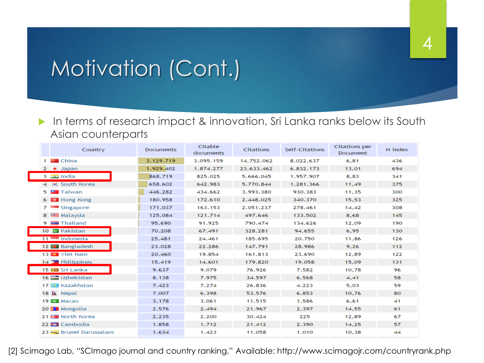# Motivation (Cont.)

#### In terms of research impact & innovation, Sri Lanka ranks below its South Asian counterparts

4

| Country                       | <b>Documents</b> | Citable<br>documents | <b>Citations</b> | Self-Citations | <b>Citations per</b><br>Document | H index |
|-------------------------------|------------------|----------------------|------------------|----------------|----------------------------------|---------|
| 1 <b>Ed</b> China             | 3.129.719        | 3.095.159            | 14.752.062       | 8.022.637      | 6.81                             | 436     |
| $2 \bullet$ Japan             | 1.929.402        | 1.874.277            | 23.633.462       | 6.832.173      | 13,01                            | 694     |
| $3 \nightharpoonup$ India     | 868.719          | 825.025              | 5.666.045        | 1.957.907      | 8,83                             | 341     |
| 4 : South Korea               | 658.602          | 642.983              | 5.770.844        | 1.281.366      | 11,49                            | 375     |
| 5 <b>El</b> Taiwan            | 446.282          | 434.662              | 3.993.380        | 930.383        | 11,35                            | 300     |
| 6 B Hong Kong                 | 180.958          | 172.610              | 2.448.025        | 340,370        | 15,53                            | 325     |
| 7 <sup>e</sup> Singapore      | 171.037          | 163.153              | 2.051.237        | 278.461        | 14,42                            | 308     |
| 8 Sem Malaysia                | 125.084          | 121.714              | 497.646          | 133.502        | 8,68                             | 145     |
| $9 \equiv$ Thailand           | 95.690           | 91.925               | 790.474          | 134.626        | 12,09                            | 190     |
| 10 <b>G</b> Pakistan          | 70.208           | 67.491               | 328.281          | 94.655         | 6,95                             | 130     |
| $11$ $\blacksquare$ Indonesia | 25.481           | 24.461               | 185.695          | 20.750         | 11,86                            | 126     |
| 12 Bangladesh                 | 23.028           | 22.286               | 147.791          | 28.986         | 9.26                             | 112     |
| 13 <b>Ex</b> Viet Nam         | 20,460           | 19.854               | 161.813          | 23.690         | 12,89                            | 122     |
| 14 Philippines                | 15.419           | 14.601               | 179.820          | 19.058         | 15.09                            | 131     |
| 15 <b>ICI</b> Sri Lanka       | 9.637            | 9.079                | 76.926           | 7.582          | 10,78                            | 96      |
| 16 [二] Uzbekistan             | 8.138            | 7.975                | 34.597           | 6.568          | 4,41                             | 58      |
| 17 <b>Jail</b> Kazakhstan     | 7.423            | 7.274                | 26.836           | 4.223          | 5,03                             | 59      |
| 18 & Nepal                    | 7.007            | 6.398                | 53.576           | 6.853          | 10,76                            | 80      |
| 19 图 Macao                    | 3.178            | 3.061                | 11.515           | 1.586          | 6,61                             | 41      |
| 20 F Mongolia                 | 2.576            | 2.494                | 21.967           | 2.397          | 14,55                            | 61      |
| 21 8 North Korea              | 2.235            | 2.200                | 30.424           | 225            | 12,89                            | 67      |
| 22 Cambodia                   | 1.858            | 1.712                | 21.412           | 2.390          | 14,25                            | 57      |
| 23 <b>Brunei Darussalam</b>   | 1.634            | 1.423                | 11.058           | 1.010          | 10,38                            | 44      |

[2] Scimago Lab, "SCImago journal and country ranking," Available: http://www.scimagojr.com/countryrank.php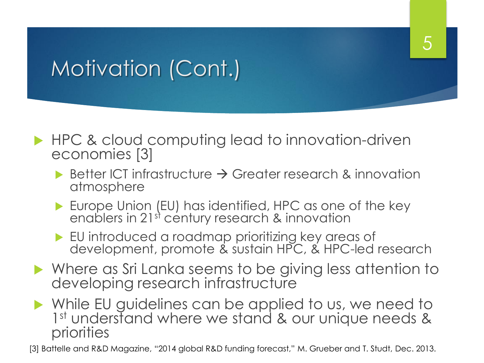# Motivation (Cont.)

- ▶ HPC & cloud computing lead to innovation-driven economies [3]
	- Better ICT infrastructure  $\rightarrow$  Greater research & innovation atmosphere

5

- **Europe Union (EU) has identified, HPC as one of the key** enablers in 21st century research & innovation
- EU introduced a roadmap prioritizing key areas of development, promote & sustain HPC, & HPC-led research
- Where as Sri Lanka seems to be giving less attention to developing research infrastructure
- While EU guidelines can be applied to us, we need to 1<sup>st</sup> understand where we stand & our unique needs & priorities

[3] Battelle and R&D Magazine, "2014 global R&D funding forecast," M. Grueber and T. Studt, Dec. 2013.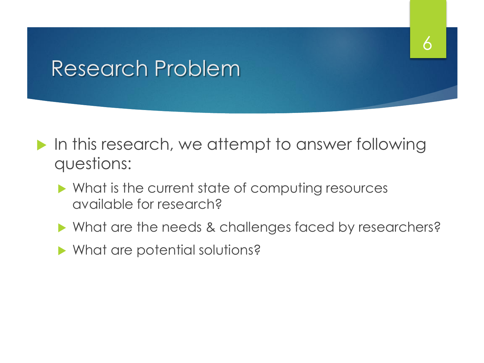## Research Problem

- In this research, we attempt to answer following questions:
	- Mhat is the current state of computing resources available for research?
	- ▶ What are the needs & challenges faced by researchers?

6

▶ What are potential solutions?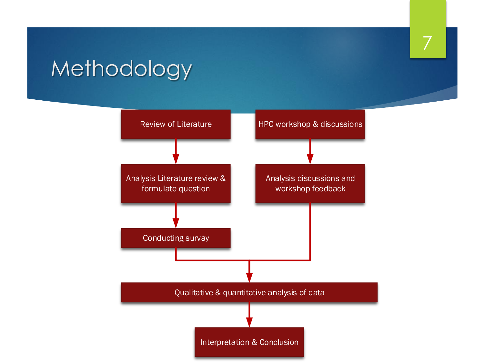# Methodology

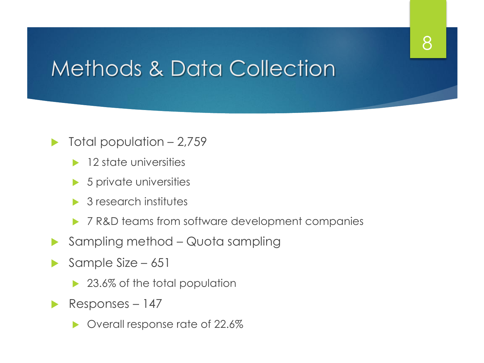#### 8

# Methods & Data Collection

#### Total population – 2,759

- $\blacktriangleright$  12 state universities
- $\triangleright$  5 private universities
- **▶ 3 research institutes**
- ▶ 7 R&D teams from software development companies
- Sampling method Quota sampling
- Sample Size 651
	- ▶ 23.6% of the total population
- Responses  $147$ 
	- ▶ Overall response rate of 22.6%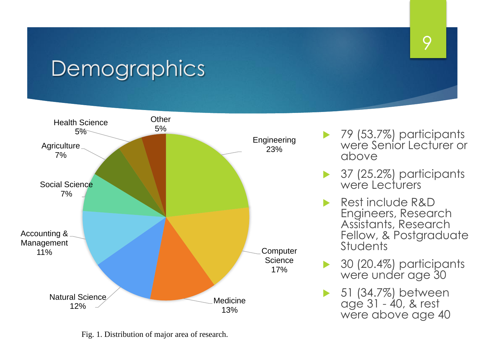## **Demographics**



Fig. 1. Distribution of major area of research.

▶ 79 (53.7%) participants were Senior Lecturer or above

- 37 (25.2%) participants were Lecturers
- Rest include R&D Engineers, Research Assistants, Research Fellow, & Postgraduate **Students**
- 30 (20.4%) participants were under age 30
- **▶ 51 (34.7%) between** age 31 - 40, & rest were above age 40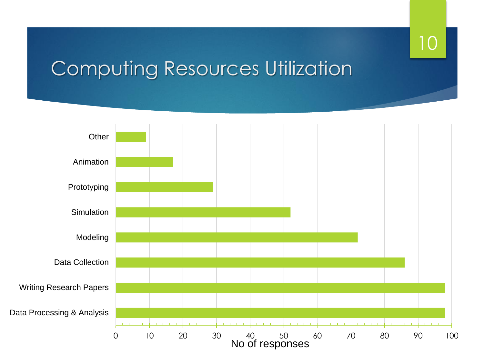## 10

## Computing Resources Utilization

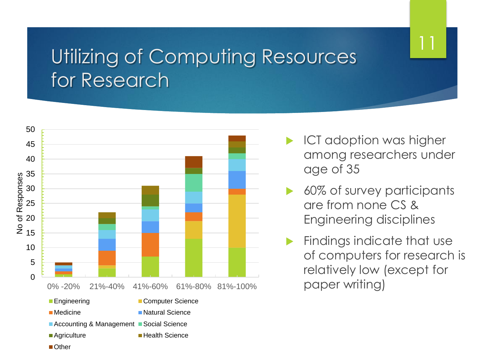### Utilizing of Computing Resources for Research



- ICT adoption was higher among researchers under age of 35
- 60% of survey participants are from none CS & Engineering disciplines
- Findings indicate that use of computers for research is relatively low (except for paper writing)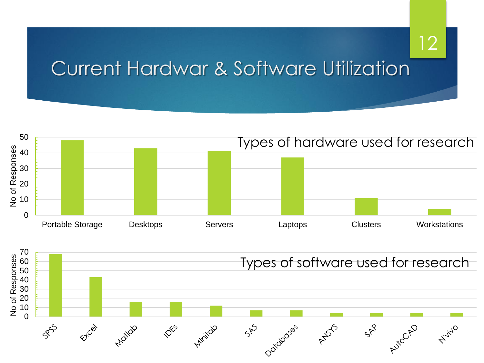#### Current Hardwar & Software Utilization



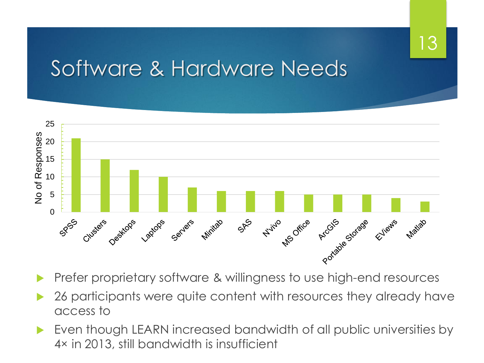13

## Software & Hardware Needs



- Prefer proprietary software & willingness to use high-end resources
- 26 participants were quite content with resources they already have access to
- Even though LEARN increased bandwidth of all public universities by 4× in 2013, still bandwidth is insufficient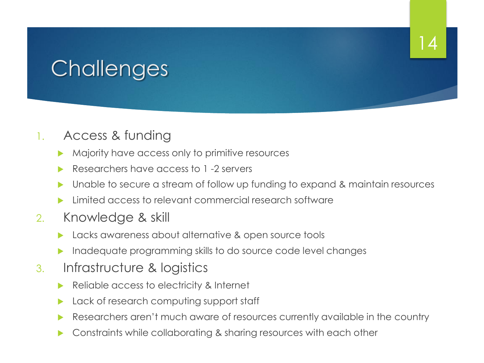# **Challenges**

#### 1. Access & funding

- Majority have access only to primitive resources
- Researchers have access to 1 -2 servers
- Unable to secure a stream of follow up funding to expand & maintain resources

- Limited access to relevant commercial research software
- 2. Knowledge & skill
	- **Lacks awareness about alternative & open source tools**
	- Inadequate programming skills to do source code level changes
- 3. Infrastructure & logistics
	- Reliable access to electricity & Internet
	- Lack of research computing support staff
	- Researchers aren't much aware of resources currently available in the country
	- Constraints while collaborating & sharing resources with each other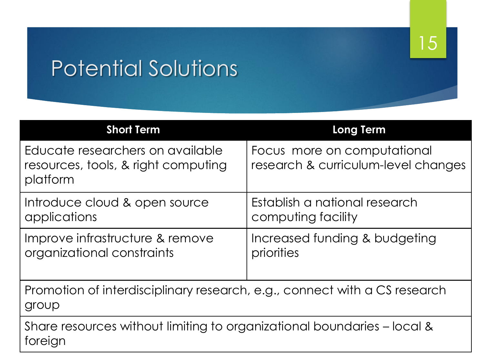#### 15

# Potential Solutions

| <b>Short Term</b>                                                                   | <b>Long Term</b>                                                   |  |  |  |
|-------------------------------------------------------------------------------------|--------------------------------------------------------------------|--|--|--|
| Educate researchers on available<br>resources, tools, & right computing<br>platform | Focus more on computational<br>research & curriculum-level changes |  |  |  |
| Introduce cloud & open source<br>applications                                       | Establish a national research<br>computing facility                |  |  |  |
| Improve infrastructure & remove<br>organizational constraints                       | Increased funding & budgeting<br>priorities                        |  |  |  |
| Promotion of interdisciplinary research, e.g., connect with a CS research<br>group  |                                                                    |  |  |  |
| Share resources without limiting to organizational boundaries – local &<br>foreign  |                                                                    |  |  |  |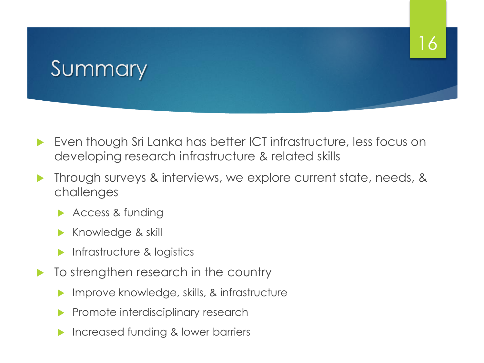# Summary

 Even though Sri Lanka has better ICT infrastructure, less focus on developing research infrastructure & related skills

- Through surveys & interviews, we explore current state, needs, & challenges
	- Access & funding
	- Knowledge & skill
	- **Infrastructure & logistics**
- $\blacktriangleright$  To strengthen research in the country
	- Improve knowledge, skills, & infrastructure
	- Promote interdisciplinary research
	- Increased funding & lower barriers